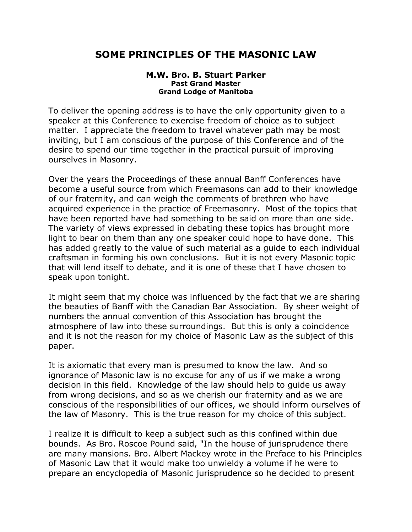## **SOME PRINCIPLES OF THE MASONIC LAW**

## **M.W. Bro. B. Stuart Parker Past Grand Master Grand Lodge of Manitoba**

To deliver the opening address is to have the only opportunity given to a speaker at this Conference to exercise freedom of choice as to subject matter. I appreciate the freedom to travel whatever path may be most inviting, but I am conscious of the purpose of this Conference and of the desire to spend our time together in the practical pursuit of improving ourselves in Masonry.

Over the years the Proceedings of these annual Banff Conferences have become a useful source from which Freemasons can add to their knowledge of our fraternity, and can weigh the comments of brethren who have acquired experience in the practice of Freemasonry. Most of the topics that have been reported have had something to be said on more than one side. The variety of views expressed in debating these topics has brought more light to bear on them than any one speaker could hope to have done. This has added greatly to the value of such material as a guide to each individual craftsman in forming his own conclusions. But it is not every Masonic topic that will lend itself to debate, and it is one of these that I have chosen to speak upon tonight.

It might seem that my choice was influenced by the fact that we are sharing the beauties of Banff with the Canadian Bar Association. By sheer weight of numbers the annual convention of this Association has brought the atmosphere of law into these surroundings. But this is only a coincidence and it is not the reason for my choice of Masonic Law as the subject of this paper.

It is axiomatic that every man is presumed to know the law. And so ignorance of Masonic law is no excuse for any of us if we make a wrong decision in this field. Knowledge of the law should help to guide us away from wrong decisions, and so as we cherish our fraternity and as we are conscious of the responsibilities of our offices, we should inform ourselves of the law of Masonry. This is the true reason for my choice of this subject.

I realize it is difficult to keep a subject such as this confined within due bounds. As Bro. Roscoe Pound said, "In the house of jurisprudence there are many mansions. Bro. Albert Mackey wrote in the Preface to his Principles of Masonic Law that it would make too unwieldy a volume if he were to prepare an encyclopedia of Masonic jurisprudence so he decided to present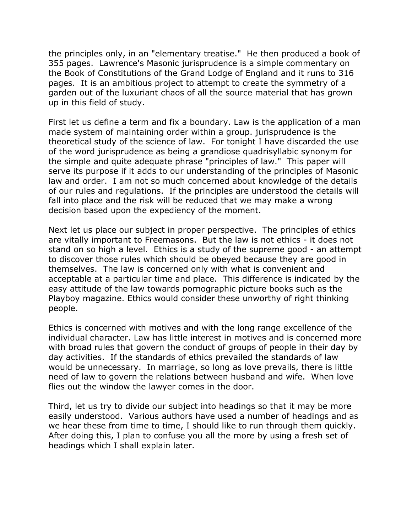the principles only, in an "elementary treatise." He then produced a book of 355 pages. Lawrence's Masonic jurisprudence is a simple commentary on the Book of Constitutions of the Grand Lodge of England and it runs to 316 pages. It is an ambitious project to attempt to create the symmetry of a garden out of the luxuriant chaos of all the source material that has grown up in this field of study.

First let us define a term and fix a boundary. Law is the application of a man made system of maintaining order within a group. jurisprudence is the theoretical study of the science of law. For tonight I have discarded the use of the word jurisprudence as being a grandiose quadrisyllabic synonym for the simple and quite adequate phrase "principles of law." This paper will serve its purpose if it adds to our understanding of the principles of Masonic law and order. I am not so much concerned about knowledge of the details of our rules and regulations. If the principles are understood the details will fall into place and the risk will be reduced that we may make a wrong decision based upon the expediency of the moment.

Next let us place our subject in proper perspective. The principles of ethics are vitally important to Freemasons. But the law is not ethics - it does not stand on so high a level. Ethics is a study of the supreme good - an attempt to discover those rules which should be obeyed because they are good in themselves. The law is concerned only with what is convenient and acceptable at a particular time and place. This difference is indicated by the easy attitude of the law towards pornographic picture books such as the Playboy magazine. Ethics would consider these unworthy of right thinking people.

Ethics is concerned with motives and with the long range excellence of the individual character. Law has little interest in motives and is concerned more with broad rules that govern the conduct of groups of people in their day by day activities. If the standards of ethics prevailed the standards of law would be unnecessary. In marriage, so long as love prevails, there is little need of law to govern the relations between husband and wife. When love flies out the window the lawyer comes in the door.

Third, let us try to divide our subject into headings so that it may be more easily understood. Various authors have used a number of headings and as we hear these from time to time, I should like to run through them quickly. After doing this, I plan to confuse you all the more by using a fresh set of headings which I shall explain later.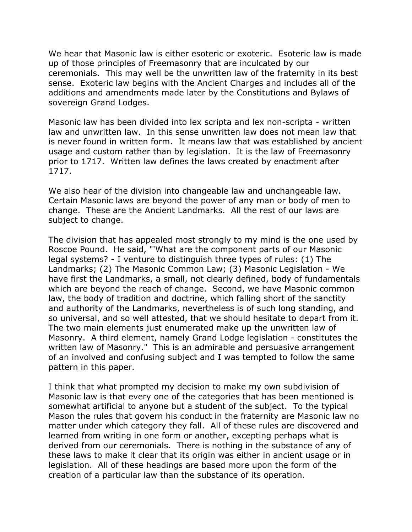We hear that Masonic law is either esoteric or exoteric. Esoteric law is made up of those principles of Freemasonry that are inculcated by our ceremonials. This may well be the unwritten law of the fraternity in its best sense. Exoteric law begins with the Ancient Charges and includes all of the additions and amendments made later by the Constitutions and Bylaws of sovereign Grand Lodges.

Masonic law has been divided into lex scripta and lex non-scripta - written law and unwritten law. In this sense unwritten law does not mean law that is never found in written form. It means law that was established by ancient usage and custom rather than by legislation. It is the law of Freemasonry prior to 1717. Written law defines the laws created by enactment after 1717.

We also hear of the division into changeable law and unchangeable law. Certain Masonic laws are beyond the power of any man or body of men to change. These are the Ancient Landmarks. All the rest of our laws are subject to change.

The division that has appealed most strongly to my mind is the one used by Roscoe Pound. He said, "'What are the component parts of our Masonic legal systems? - I venture to distinguish three types of rules: (1) The Landmarks; (2) The Masonic Common Law; (3) Masonic Legislation - We have first the Landmarks, a small, not clearly defined, body of fundamentals which are beyond the reach of change. Second, we have Masonic common law, the body of tradition and doctrine, which falling short of the sanctity and authority of the Landmarks, nevertheless is of such long standing, and so universal, and so well attested, that we should hesitate to depart from it. The two main elements just enumerated make up the unwritten law of Masonry. A third element, namely Grand Lodge legislation - constitutes the written law of Masonry." This is an admirable and persuasive arrangement of an involved and confusing subject and I was tempted to follow the same pattern in this paper.

I think that what prompted my decision to make my own subdivision of Masonic law is that every one of the categories that has been mentioned is somewhat artificial to anyone but a student of the subject. To the typical Mason the rules that govern his conduct in the fraternity are Masonic law no matter under which category they fall. All of these rules are discovered and learned from writing in one form or another, excepting perhaps what is derived from our ceremonials. There is nothing in the substance of any of these laws to make it clear that its origin was either in ancient usage or in legislation. All of these headings are based more upon the form of the creation of a particular law than the substance of its operation.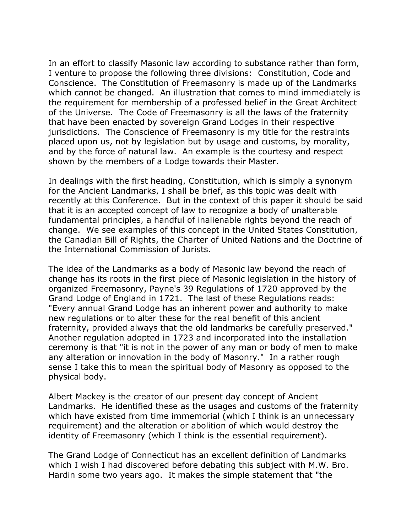In an effort to classify Masonic law according to substance rather than form, I venture to propose the following three divisions: Constitution, Code and Conscience. The Constitution of Freemasonry is made up of the Landmarks which cannot be changed. An illustration that comes to mind immediately is the requirement for membership of a professed belief in the Great Architect of the Universe. The Code of Freemasonry is all the laws of the fraternity that have been enacted by sovereign Grand Lodges in their respective jurisdictions. The Conscience of Freemasonry is my title for the restraints placed upon us, not by legislation but by usage and customs, by morality, and by the force of natural law. An example is the courtesy and respect shown by the members of a Lodge towards their Master.

In dealings with the first heading, Constitution, which is simply a synonym for the Ancient Landmarks, I shall be brief, as this topic was dealt with recently at this Conference. But in the context of this paper it should be said that it is an accepted concept of law to recognize a body of unalterable fundamental principles, a handful of inalienable rights beyond the reach of change. We see examples of this concept in the United States Constitution, the Canadian Bill of Rights, the Charter of United Nations and the Doctrine of the International Commission of Jurists.

The idea of the Landmarks as a body of Masonic law beyond the reach of change has its roots in the first piece of Masonic legislation in the history of organized Freemasonry, Payne's 39 Regulations of 1720 approved by the Grand Lodge of England in 1721. The last of these Regulations reads: "Every annual Grand Lodge has an inherent power and authority to make new regulations or to alter these for the real benefit of this ancient fraternity, provided always that the old landmarks be carefully preserved." Another regulation adopted in 1723 and incorporated into the installation ceremony is that "it is not in the power of any man or body of men to make any alteration or innovation in the body of Masonry." In a rather rough sense I take this to mean the spiritual body of Masonry as opposed to the physical body.

Albert Mackey is the creator of our present day concept of Ancient Landmarks. He identified these as the usages and customs of the fraternity which have existed from time immemorial (which I think is an unnecessary requirement) and the alteration or abolition of which would destroy the identity of Freemasonry (which I think is the essential requirement).

The Grand Lodge of Connecticut has an excellent definition of Landmarks which I wish I had discovered before debating this subject with M.W. Bro. Hardin some two years ago. It makes the simple statement that "the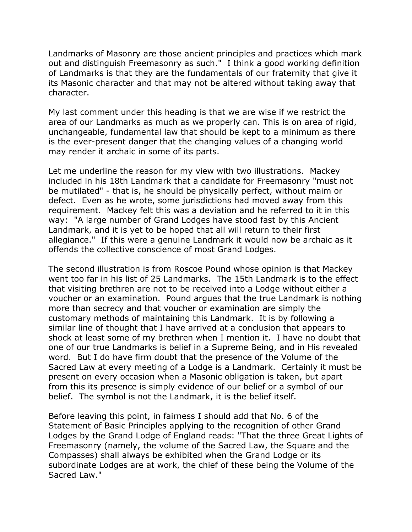Landmarks of Masonry are those ancient principles and practices which mark out and distinguish Freemasonry as such." I think a good working definition of Landmarks is that they are the fundamentals of our fraternity that give it its Masonic character and that may not be altered without taking away that character.

My last comment under this heading is that we are wise if we restrict the area of our Landmarks as much as we properly can. This is on area of rigid, unchangeable, fundamental law that should be kept to a minimum as there is the ever-present danger that the changing values of a changing world may render it archaic in some of its parts.

Let me underline the reason for my view with two illustrations. Mackey included in his 18th Landmark that a candidate for Freemasonry "must not be mutilated" - that is, he should be physically perfect, without maim or defect. Even as he wrote, some jurisdictions had moved away from this requirement. Mackey felt this was a deviation and he referred to it in this way: "A large number of Grand Lodges have stood fast by this Ancient Landmark, and it is yet to be hoped that all will return to their first allegiance." If this were a genuine Landmark it would now be archaic as it offends the collective conscience of most Grand Lodges.

The second illustration is from Roscoe Pound whose opinion is that Mackey went too far in his list of 25 Landmarks. The 15th Landmark is to the effect that visiting brethren are not to be received into a Lodge without either a voucher or an examination. Pound argues that the true Landmark is nothing more than secrecy and that voucher or examination are simply the customary methods of maintaining this Landmark. It is by following a similar line of thought that I have arrived at a conclusion that appears to shock at least some of my brethren when I mention it. I have no doubt that one of our true Landmarks is belief in a Supreme Being, and in His revealed word. But I do have firm doubt that the presence of the Volume of the Sacred Law at every meeting of a Lodge is a Landmark. Certainly it must be present on every occasion when a Masonic obligation is taken, but apart from this its presence is simply evidence of our belief or a symbol of our belief. The symbol is not the Landmark, it is the belief itself.

Before leaving this point, in fairness I should add that No. 6 of the Statement of Basic Principles applying to the recognition of other Grand Lodges by the Grand Lodge of England reads: "That the three Great Lights of Freemasonry (namely, the volume of the Sacred Law, the Square and the Compasses) shall always be exhibited when the Grand Lodge or its subordinate Lodges are at work, the chief of these being the Volume of the Sacred Law."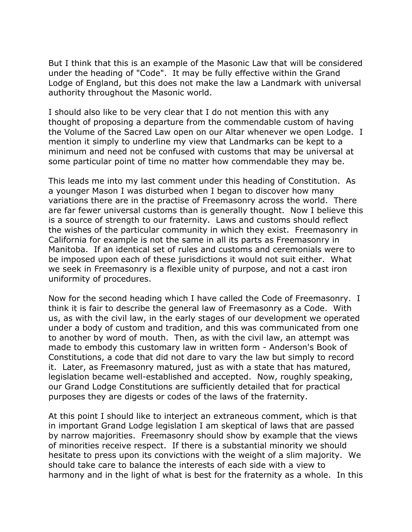But I think that this is an example of the Masonic Law that will be considered under the heading of "Code". It may be fully effective within the Grand Lodge of England, but this does not make the law a Landmark with universal authority throughout the Masonic world.

I should also like to be very clear that I do not mention this with any thought of proposing a departure from the commendable custom of having the Volume of the Sacred Law open on our Altar whenever we open Lodge. I mention it simply to underline my view that Landmarks can be kept to a minimum and need not be confused with customs that may be universal at some particular point of time no matter how commendable they may be.

This leads me into my last comment under this heading of Constitution. As a younger Mason I was disturbed when I began to discover how many variations there are in the practise of Freemasonry across the world. There are far fewer universal customs than is generally thought. Now I believe this is a source of strength to our fraternity. Laws and customs should reflect the wishes of the particular community in which they exist. Freemasonry in California for example is not the same in all its parts as Freemasonry in Manitoba. If an identical set of rules and customs and ceremonials were to be imposed upon each of these jurisdictions it would not suit either. What we seek in Freemasonry is a flexible unity of purpose, and not a cast iron uniformity of procedures.

Now for the second heading which I have called the Code of Freemasonry. I think it is fair to describe the general law of Freemasonry as a Code. With us, as with the civil law, in the early stages of our development we operated under a body of custom and tradition, and this was communicated from one to another by word of mouth. Then, as with the civil law, an attempt was made to embody this customary law in written form - Anderson's Book of Constitutions, a code that did not dare to vary the law but simply to record it. Later, as Freemasonry matured, just as with a state that has matured, legislation became well-established and accepted. Now, roughly speaking, our Grand Lodge Constitutions are sufficiently detailed that for practical purposes they are digests or codes of the laws of the fraternity.

At this point I should like to interject an extraneous comment, which is that in important Grand Lodge legislation I am skeptical of laws that are passed by narrow majorities. Freemasonry should show by example that the views of minorities receive respect. If there is a substantial minority we should hesitate to press upon its convictions with the weight of a slim majority. We should take care to balance the interests of each side with a view to harmony and in the light of what is best for the fraternity as a whole. In this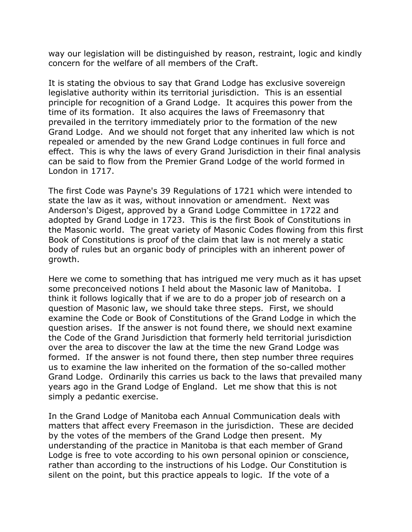way our legislation will be distinguished by reason, restraint, logic and kindly concern for the welfare of all members of the Craft.

It is stating the obvious to say that Grand Lodge has exclusive sovereign legislative authority within its territorial jurisdiction. This is an essential principle for recognition of a Grand Lodge. It acquires this power from the time of its formation. It also acquires the laws of Freemasonry that prevailed in the territory immediately prior to the formation of the new Grand Lodge. And we should not forget that any inherited law which is not repealed or amended by the new Grand Lodge continues in full force and effect. This is why the laws of every Grand Jurisdiction in their final analysis can be said to flow from the Premier Grand Lodge of the world formed in London in 1717.

The first Code was Payne's 39 Regulations of 1721 which were intended to state the law as it was, without innovation or amendment. Next was Anderson's Digest, approved by a Grand Lodge Committee in 1722 and adopted by Grand Lodge in 1723. This is the first Book of Constitutions in the Masonic world. The great variety of Masonic Codes flowing from this first Book of Constitutions is proof of the claim that law is not merely a static body of rules but an organic body of principles with an inherent power of growth.

Here we come to something that has intrigued me very much as it has upset some preconceived notions I held about the Masonic law of Manitoba. I think it follows logically that if we are to do a proper job of research on a question of Masonic law, we should take three steps. First, we should examine the Code or Book of Constitutions of the Grand Lodge in which the question arises. If the answer is not found there, we should next examine the Code of the Grand Jurisdiction that formerly held territorial jurisdiction over the area to discover the law at the time the new Grand Lodge was formed. If the answer is not found there, then step number three requires us to examine the law inherited on the formation of the so-called mother Grand Lodge. Ordinarily this carries us back to the laws that prevailed many years ago in the Grand Lodge of England. Let me show that this is not simply a pedantic exercise.

In the Grand Lodge of Manitoba each Annual Communication deals with matters that affect every Freemason in the jurisdiction. These are decided by the votes of the members of the Grand Lodge then present. My understanding of the practice in Manitoba is that each member of Grand Lodge is free to vote according to his own personal opinion or conscience, rather than according to the instructions of his Lodge. Our Constitution is silent on the point, but this practice appeals to logic. If the vote of a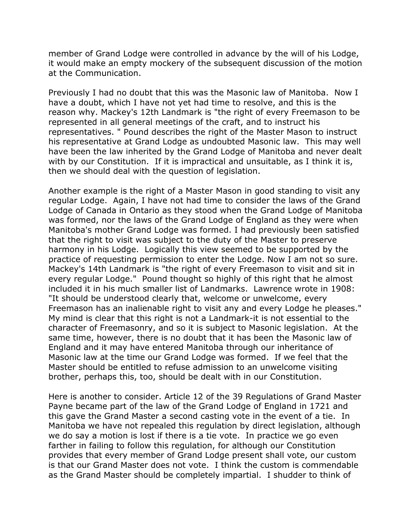member of Grand Lodge were controlled in advance by the will of his Lodge, it would make an empty mockery of the subsequent discussion of the motion at the Communication.

Previously I had no doubt that this was the Masonic law of Manitoba. Now I have a doubt, which I have not yet had time to resolve, and this is the reason why. Mackey's 12th Landmark is "the right of every Freemason to be represented in all general meetings of the craft, and to instruct his representatives. " Pound describes the right of the Master Mason to instruct his representative at Grand Lodge as undoubted Masonic law. This may well have been the law inherited by the Grand Lodge of Manitoba and never dealt with by our Constitution. If it is impractical and unsuitable, as I think it is, then we should deal with the question of legislation.

Another example is the right of a Master Mason in good standing to visit any regular Lodge. Again, I have not had time to consider the laws of the Grand Lodge of Canada in Ontario as they stood when the Grand Lodge of Manitoba was formed, nor the laws of the Grand Lodge of England as they were when Manitoba's mother Grand Lodge was formed. I had previously been satisfied that the right to visit was subject to the duty of the Master to preserve harmony in his Lodge. Logically this view seemed to be supported by the practice of requesting permission to enter the Lodge. Now I am not so sure. Mackey's 14th Landmark is "the right of every Freemason to visit and sit in every regular Lodge." Pound thought so highly of this right that he almost included it in his much smaller list of Landmarks. Lawrence wrote in 1908: "It should be understood clearly that, welcome or unwelcome, every Freemason has an inalienable right to visit any and every Lodge he pleases." My mind is clear that this right is not a Landmark-it is not essential to the character of Freemasonry, and so it is subject to Masonic legislation. At the same time, however, there is no doubt that it has been the Masonic law of England and it may have entered Manitoba through our inheritance of Masonic law at the time our Grand Lodge was formed. If we feel that the Master should be entitled to refuse admission to an unwelcome visiting brother, perhaps this, too, should be dealt with in our Constitution.

Here is another to consider. Article 12 of the 39 Regulations of Grand Master Payne became part of the law of the Grand Lodge of England in 1721 and this gave the Grand Master a second casting vote in the event of a tie. In Manitoba we have not repealed this regulation by direct legislation, although we do say a motion is lost if there is a tie vote. In practice we go even farther in failing to follow this regulation, for although our Constitution provides that every member of Grand Lodge present shall vote, our custom is that our Grand Master does not vote. I think the custom is commendable as the Grand Master should be completely impartial. I shudder to think of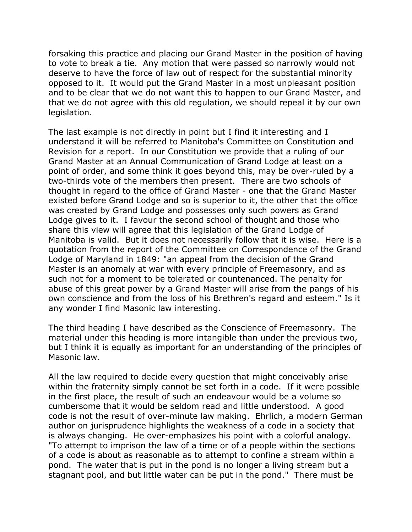forsaking this practice and placing our Grand Master in the position of having to vote to break a tie. Any motion that were passed so narrowly would not deserve to have the force of law out of respect for the substantial minority opposed to it. It would put the Grand Master in a most unpleasant position and to be clear that we do not want this to happen to our Grand Master, and that we do not agree with this old regulation, we should repeal it by our own legislation.

The last example is not directly in point but I find it interesting and I understand it will be referred to Manitoba's Committee on Constitution and Revision for a report. In our Constitution we provide that a ruling of our Grand Master at an Annual Communication of Grand Lodge at least on a point of order, and some think it goes beyond this, may be over-ruled by a two-thirds vote of the members then present. There are two schools of thought in regard to the office of Grand Master - one that the Grand Master existed before Grand Lodge and so is superior to it, the other that the office was created by Grand Lodge and possesses only such powers as Grand Lodge gives to it. I favour the second school of thought and those who share this view will agree that this legislation of the Grand Lodge of Manitoba is valid. But it does not necessarily follow that it is wise. Here is a quotation from the report of the Committee on Correspondence of the Grand Lodge of Maryland in 1849: "an appeal from the decision of the Grand Master is an anomaly at war with every principle of Freemasonry, and as such not for a moment to be tolerated or countenanced. The penalty for abuse of this great power by a Grand Master will arise from the pangs of his own conscience and from the loss of his Brethren's regard and esteem." Is it any wonder I find Masonic law interesting.

The third heading I have described as the Conscience of Freemasonry. The material under this heading is more intangible than under the previous two, but I think it is equally as important for an understanding of the principles of Masonic law.

All the law required to decide every question that might conceivably arise within the fraternity simply cannot be set forth in a code. If it were possible in the first place, the result of such an endeavour would be a volume so cumbersome that it would be seldom read and little understood. A good code is not the result of over-minute law making. Ehrlich, a modern German author on jurisprudence highlights the weakness of a code in a society that is always changing. He over-emphasizes his point with a colorful analogy. "To attempt to imprison the law of a time or of a people within the sections of a code is about as reasonable as to attempt to confine a stream within a pond. The water that is put in the pond is no longer a living stream but a stagnant pool, and but little water can be put in the pond." There must be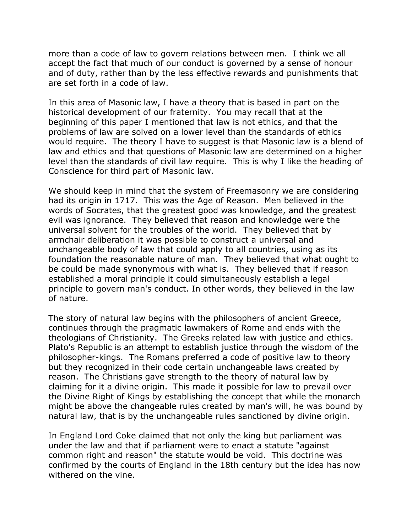more than a code of law to govern relations between men. I think we all accept the fact that much of our conduct is governed by a sense of honour and of duty, rather than by the less effective rewards and punishments that are set forth in a code of law.

In this area of Masonic law, I have a theory that is based in part on the historical development of our fraternity. You may recall that at the beginning of this paper I mentioned that law is not ethics, and that the problems of law are solved on a lower level than the standards of ethics would require. The theory I have to suggest is that Masonic law is a blend of law and ethics and that questions of Masonic law are determined on a higher level than the standards of civil law require. This is why I like the heading of Conscience for third part of Masonic law.

We should keep in mind that the system of Freemasonry we are considering had its origin in 1717. This was the Age of Reason. Men believed in the words of Socrates, that the greatest good was knowledge, and the greatest evil was ignorance. They believed that reason and knowledge were the universal solvent for the troubles of the world. They believed that by armchair deliberation it was possible to construct a universal and unchangeable body of law that could apply to all countries, using as its foundation the reasonable nature of man. They believed that what ought to be could be made synonymous with what is. They believed that if reason established a moral principle it could simultaneously establish a legal principle to govern man's conduct. In other words, they believed in the law of nature.

The story of natural law begins with the philosophers of ancient Greece, continues through the pragmatic lawmakers of Rome and ends with the theologians of Christianity. The Greeks related law with justice and ethics. Plato's Republic is an attempt to establish justice through the wisdom of the philosopher-kings. The Romans preferred a code of positive law to theory but they recognized in their code certain unchangeable laws created by reason. The Christians gave strength to the theory of natural law by claiming for it a divine origin. This made it possible for law to prevail over the Divine Right of Kings by establishing the concept that while the monarch might be above the changeable rules created by man's will, he was bound by natural law, that is by the unchangeable rules sanctioned by divine origin.

In England Lord Coke claimed that not only the king but parliament was under the law and that if parliament were to enact a statute "against common right and reason" the statute would be void. This doctrine was confirmed by the courts of England in the 18th century but the idea has now withered on the vine.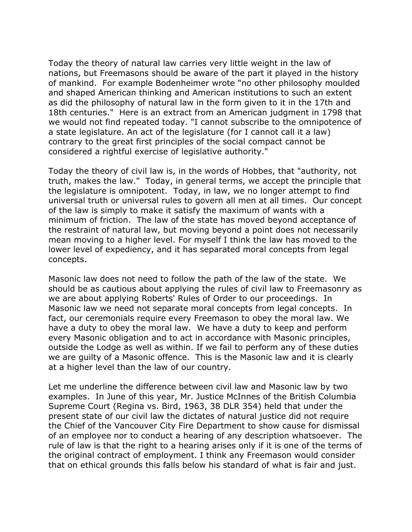Today the theory of natural law carries very little weight in the law of nations, but Freemasons should be aware of the part it played in the history of mankind. For example Bodenheimer wrote "no other philosophy moulded and shaped American thinking and American institutions to such an extent as did the philosophy of natural law in the form given to it in the 17th and 18th centuries." Here is an extract from an American judgment in 1798 that we would not find repeated today. "I cannot subscribe to the omnipotence of a state legislature. An act of the legislature (for I cannot call it a law) contrary to the great first principles of the social compact cannot be considered a rightful exercise of legislative authority."

Today the theory of civil law is, in the words of Hobbes, that "authority, not truth, makes the law." Today, in general terms, we accept the principle that the legislature is omnipotent. Today, in law, we no longer attempt to find universal truth or universal rules to govern all men at all times. Our concept of the law is simply to make it satisfy the maximum of wants with a minimum of friction. The law of the state has moved beyond acceptance of the restraint of natural law, but moving beyond a point does not necessarily mean moving to a higher level. For myself I think the law has moved to the lower level of expediency, and it has separated moral concepts from legal concepts.

Masonic law does not need to follow the path of the law of the state. We should be as cautious about applying the rules of civil law to Freemasonry as we are about applying Roberts' Rules of Order to our proceedings. In Masonic law we need not separate moral concepts from legal concepts. In fact, our ceremonials require every Freemason to obey the moral law. We have a duty to obey the moral law. We have a duty to keep and perform every Masonic obligation and to act in accordance with Masonic principles, outside the Lodge as well as within. If we fail to perform any of these duties we are guilty of a Masonic offence. This is the Masonic law and it is clearly at a higher level than the law of our country.

Let me underline the difference between civil law and Masonic law by two examples. In June of this year, Mr. Justice McInnes of the British Columbia Supreme Court (Regina vs. Bird, 1963, 38 DLR 354) held that under the present state of our civil law the dictates of natural justice did not require the Chief of the Vancouver City Fire Department to show cause for dismissal of an employee nor to conduct a hearing of any description whatsoever. The rule of law is that the right to a hearing arises only if it is one of the terms of the original contract of employment. I think any Freemason would consider that on ethical grounds this falls below his standard of what is fair and just.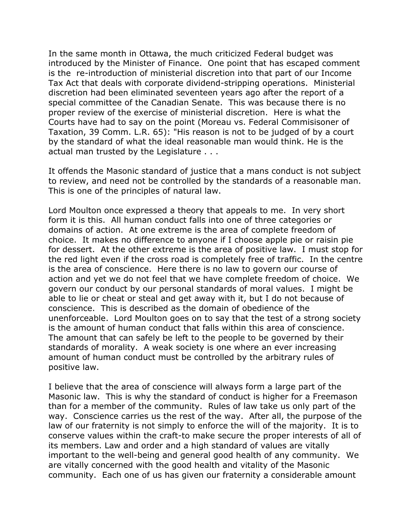In the same month in Ottawa, the much criticized Federal budget was introduced by the Minister of Finance. One point that has escaped comment is the re-introduction of ministerial discretion into that part of our Income Tax Act that deals with corporate dividend-stripping operations. Ministerial discretion had been eliminated seventeen years ago after the report of a special committee of the Canadian Senate. This was because there is no proper review of the exercise of ministerial discretion. Here is what the Courts have had to say on the point (Moreau vs. Federal Commisisoner of Taxation, 39 Comm. L.R. 65): "His reason is not to be judged of by a court by the standard of what the ideal reasonable man would think. He is the actual man trusted by the Legislature . . .

It offends the Masonic standard of justice that a mans conduct is not subject to review, and need not be controlled by the standards of a reasonable man. This is one of the principles of natural law.

Lord Moulton once expressed a theory that appeals to me. In very short form it is this. All human conduct falls into one of three categories or domains of action. At one extreme is the area of complete freedom of choice. It makes no difference to anyone if I choose apple pie or raisin pie for dessert. At the other extreme is the area of positive law. I must stop for the red light even if the cross road is completely free of traffic. In the centre is the area of conscience. Here there is no law to govern our course of action and yet we do not feel that we have complete freedom of choice. We govern our conduct by our personal standards of moral values. I might be able to lie or cheat or steal and get away with it, but I do not because of conscience. This is described as the domain of obedience of the unenforceable. Lord Moulton goes on to say that the test of a strong society is the amount of human conduct that falls within this area of conscience. The amount that can safely be left to the people to be governed by their standards of morality. A weak society is one where an ever increasing amount of human conduct must be controlled by the arbitrary rules of positive law.

I believe that the area of conscience will always form a large part of the Masonic law. This is why the standard of conduct is higher for a Freemason than for a member of the community. Rules of law take us only part of the way. Conscience carries us the rest of the way. After all, the purpose of the law of our fraternity is not simply to enforce the will of the majority. It is to conserve values within the craft-to make secure the proper interests of all of its members. Law and order and a high standard of values are vitally important to the well-being and general good health of any community. We are vitally concerned with the good health and vitality of the Masonic community. Each one of us has given our fraternity a considerable amount